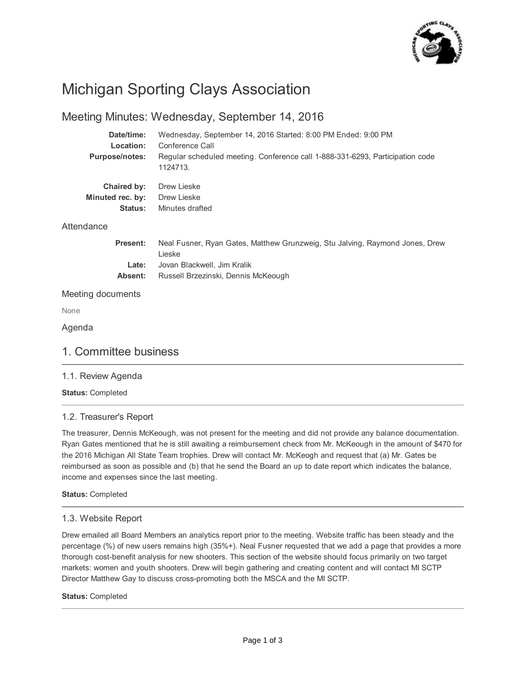

# Michigan Sporting Clays Association

# Meeting Minutes: Wednesday, September 14, 2016

| Date/time:            | Wednesday, September 14, 2016 Started: 8:00 PM Ended: 9:00 PM                             |
|-----------------------|-------------------------------------------------------------------------------------------|
| Location:             | Conference Call                                                                           |
| <b>Purpose/notes:</b> | Regular scheduled meeting. Conference call 1-888-331-6293, Participation code<br>1124713. |
| Chaired by:           | Drew Lieske                                                                               |
| Minuted rec. by:      | Drew Lieske                                                                               |
| <b>Status:</b>        | Minutes drafted                                                                           |
| Attendance            |                                                                                           |
| <b>Present:</b>       | Neal Fusner, Ryan Gates, Matthew Grunzweig, Stu Jalving, Raymond Jones, Drew<br>Lieske    |
| Late:                 | Jovan Blackwell, Jim Kralik                                                               |
| Absent:               | Russell Brzezinski, Dennis McKeough                                                       |
| Meeting documents     |                                                                                           |
| None                  |                                                                                           |

### Agenda

# 1. Committee business

### 1.1. Review Agenda

**Status:** Completed

### 1.2. Treasurer's Report

The treasurer, Dennis McKeough, was not present for the meeting and did not provide any balance documentation. Ryan Gates mentioned that he is still awaiting a reimbursement check from Mr. McKeough in the amount of \$470 for the 2016 Michigan All State Team trophies. Drew will contact Mr. McKeogh and request that (a) Mr. Gates be reimbursed as soon as possible and (b) that he send the Board an up to date report which indicates the balance, income and expenses since the last meeting.

### **Status:** Completed

### 1.3. Website Report

Drew emailed all Board Members an analytics report prior to the meeting. Website traffic has been steady and the percentage (%) of new users remains high (35%+). Neal Fusner requested that we add a page that provides a more thorough cost-benefit analysis for new shooters. This section of the website should focus primarily on two target markets: women and youth shooters. Drew will begin gathering and creating content and will contact MI SCTP Director Matthew Gay to discuss cross-promoting both the MSCA and the MI SCTP.

#### **Status:** Completed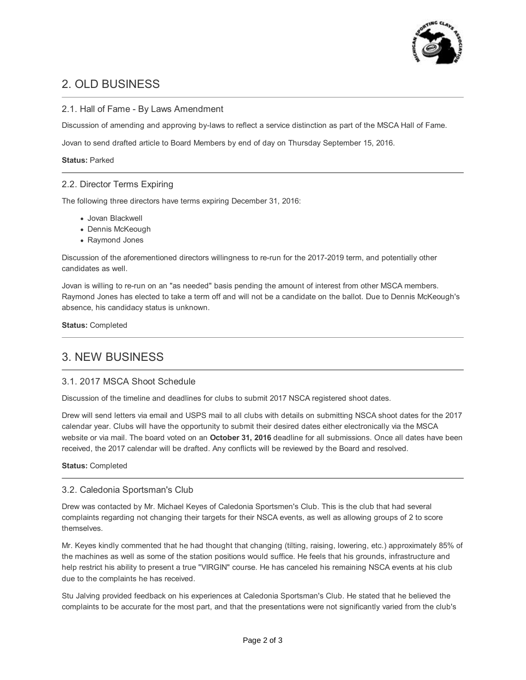

# 2. OLD BUSINESS

### 2.1. Hall of Fame - By Laws Amendment

Discussion of amending and approving by-laws to reflect a service distinction as part of the MSCA Hall of Fame.

Jovan to send drafted article to Board Members by end of day on Thursday September 15, 2016.

#### **Status:** Parked

### 2.2. Director Terms Expiring

The following three directors have terms expiring December 31, 2016:

- Jovan Blackwell
- Dennis McKeough
- Raymond Jones

Discussion of the aforementioned directors willingness to re-run for the 2017-2019 term, and potentially other candidates as well.

Jovan is willing to re-run on an "as needed" basis pending the amount of interest from other MSCA members. Raymond Jones has elected to take a term off and will not be a candidate on the ballot. Due to Dennis McKeough's absence, his candidacy status is unknown.

**Status:** Completed

# 3. NEW BUSINESS

### 3.1. 2017 MSCA Shoot Schedule

Discussion of the timeline and deadlines for clubs to submit 2017 NSCA registered shoot dates.

Drew will send letters via email and USPS mail to all clubs with details on submitting NSCA shoot dates for the 2017 calendar year. Clubs will have the opportunity to submit their desired dates either electronically via the MSCA website or via mail. The board voted on an **October 31, 2016** deadline for all submissions. Once all dates have been received, the 2017 calendar will be drafted. Any conflicts will be reviewed by the Board and resolved.

**Status:** Completed

### 3.2. Caledonia Sportsman's Club

Drew was contacted by Mr. Michael Keyes of Caledonia Sportsmen's Club. This is the club that had several complaints regarding not changing their targets for their NSCA events, as well as allowing groups of 2 to score themselves.

Mr. Keyes kindly commented that he had thought that changing (tilting, raising, lowering, etc.) approximately 85% of the machines as well as some of the station positions would suffice. He feels that his grounds, infrastructure and help restrict his ability to present a true "VIRGIN" course. He has canceled his remaining NSCA events at his club due to the complaints he has received.

Stu Jalving provided feedback on his experiences at Caledonia Sportsman's Club. He stated that he believed the complaints to be accurate for the most part, and that the presentations were not significantly varied from the club's